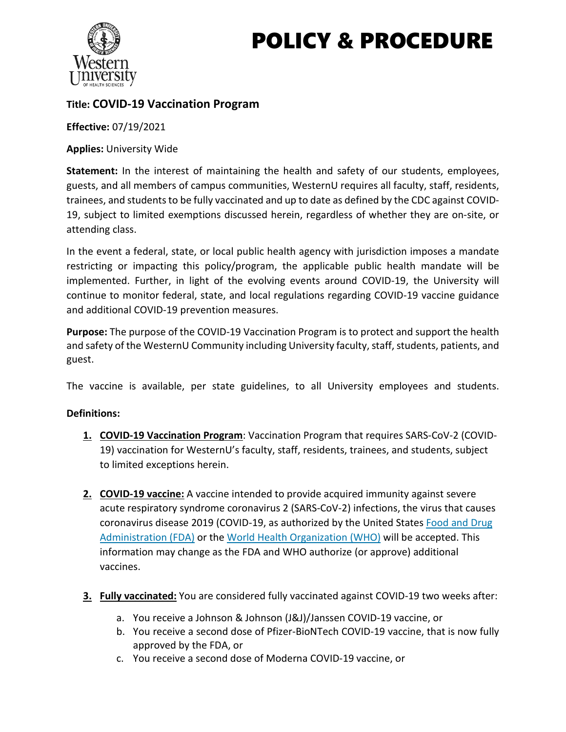# POLICY & PROCEDURE



# **Title: COVID-19 Vaccination Program**

**Effective:** 07/19/2021

**Applies:** University Wide

**Statement:** In the interest of maintaining the health and safety of our students, employees, guests, and all members of campus communities, WesternU requires all faculty, staff, residents, trainees, and students to be fully vaccinated and up to date as defined by the CDC against COVID-19, subject to limited exemptions discussed herein, regardless of whether they are on-site, or attending class.

In the event a federal, state, or local public health agency with jurisdiction imposes a mandate restricting or impacting this policy/program, the applicable public health mandate will be implemented. Further, in light of the evolving events around COVID-19, the University will continue to monitor federal, state, and local regulations regarding COVID-19 vaccine guidance and additional COVID-19 prevention measures.

**Purpose:** The purpose of the COVID-19 Vaccination Program is to protect and support the health and safety of the WesternU Community including University faculty, staff, students, patients, and guest.

The vaccine is available, per state guidelines, to all University employees and students.

## **Definitions:**

- **1. COVID-19 Vaccination Program**: Vaccination Program that requires SARS-CoV-2 (COVID-19) vaccination for WesternU's faculty, staff, residents, trainees, and students, subject to limited exceptions herein.
- **2. COVID-19 vaccine:** A vaccine intended to provide acquired immunity against severe acute respiratory syndrome coronavirus 2 (SARS-CoV-2) infections, the virus that causes coronavirus disease 2019 (COVID-19, as authorized by the United States Food and Drug [Administration \(FDA\)](https://www.fda.gov/emergency-preparedness-and-response/coronavirus-disease-2019-covid-19/covid-19-vaccines) or the [World Health Organization \(WHO\)](https://www.who.int/news/item/01-06-2021-who-validates-sinovac-covid-19-vaccine-for-emergency-use-and-issues-interim-policy-recommendations) will be accepted. This information may change as the FDA and WHO authorize (or approve) additional vaccines.
- **3. Fully vaccinated:** You are considered fully vaccinated against COVID-19 two weeks after:
	- a. You receive a Johnson & Johnson (J&J)/Janssen COVID-19 vaccine, or
	- b. You receive a second dose of Pfizer-BioNTech COVID-19 vaccine, that is now fully approved by the FDA, or
	- c. You receive a second dose of Moderna COVID-19 vaccine, or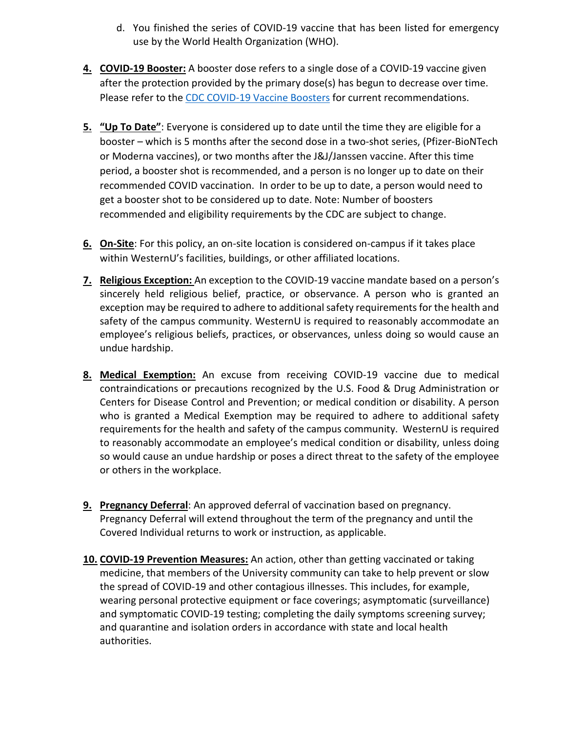- d. You finished the series of COVID-19 vaccine that has been listed for emergency use by the World Health Organization (WHO).
- **4. COVID-19 Booster:** A booster dose refers to a single dose of a COVID-19 vaccine given after the protection provided by the primary dose(s) has begun to decrease over time. Please refer to the [CDC COVID-19 Vaccine Boosters](https://www.cdc.gov/coronavirus/2019-ncov/vaccines/booster-shot.html?s_cid=11706:cdc%20covid%20booster:sem.ga:p:RG:GM:gen:PTN:FY22) for current recommendations.
- **5. "Up To Date"**: Everyone is considered up to date until the time they are eligible for a booster – which is 5 months after the second dose in a two-shot series, (Pfizer-BioNTech or Moderna vaccines), or two months after the J&J/Janssen vaccine. After this time period, a booster shot is recommended, and a person is no longer up to date on their recommended COVID vaccination. In order to be up to date, a person would need to get a booster shot to be considered up to date. Note: Number of boosters recommended and eligibility requirements by the CDC are subject to change.
- **6. On-Site**: For this policy, an on-site location is considered on-campus if it takes place within WesternU's facilities, buildings, or other affiliated locations.
- **7. Religious Exception:** An exception to the COVID-19 vaccine mandate based on a person's sincerely held religious belief, practice, or observance. A person who is granted an exception may be required to adhere to additional safety requirements for the health and safety of the campus community. WesternU is required to reasonably accommodate an employee's religious beliefs, practices, or observances, unless doing so would cause an undue hardship.
- **8. Medical Exemption:** An excuse from receiving COVID-19 vaccine due to medical contraindications or precautions recognized by the U.S. Food & Drug Administration or Centers for Disease Control and Prevention; or medical condition or disability. A person who is granted a Medical Exemption may be required to adhere to additional safety requirements for the health and safety of the campus community. WesternU is required to reasonably accommodate an employee's medical condition or disability, unless doing so would cause an undue hardship or poses a direct threat to the safety of the employee or others in the workplace.
- **9. Pregnancy Deferral**: An approved deferral of vaccination based on pregnancy. Pregnancy Deferral will extend throughout the term of the pregnancy and until the Covered Individual returns to work or instruction, as applicable.
- **10. COVID-19 Prevention Measures:** An action, other than getting vaccinated or taking medicine, that members of the University community can take to help prevent or slow the spread of COVID-19 and other contagious illnesses. This includes, for example, wearing personal protective equipment or face coverings; asymptomatic (surveillance) and symptomatic COVID-19 testing; completing the daily symptoms screening survey; and quarantine and isolation orders in accordance with state and local health authorities.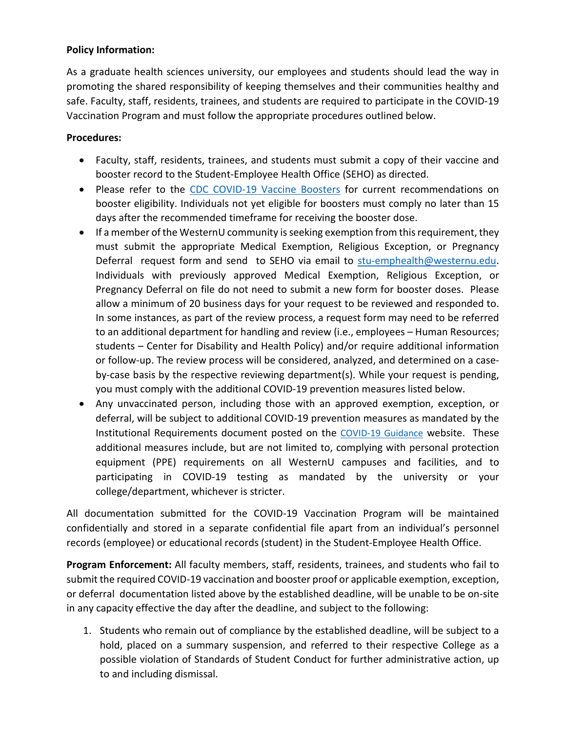#### **Policy Information:**

As a graduate health sciences university, our employees and students should lead the way in promoting the shared responsibility of keeping themselves and their communities healthy and safe. Faculty, staff, residents, trainees, and students are required to participate in the COVID-19 Vaccination Program and must follow the appropriate procedures outlined below.

#### **Procedures:**

- Faculty, staff, residents, trainees, and students must submit a copy of their vaccine and booster record to the Student-Employee Health Office (SEHO) as directed.
- Please refer to the [CDC COVID-19 Vaccine Boosters](https://www.cdc.gov/coronavirus/2019-ncov/vaccines/booster-shot.html) for current recommendations on booster eligibility. Individuals not yet eligible for boosters must comply no later than 15 days after the recommended timeframe for receiving the booster dose.
- If a member of the WesternU community is seeking exemption from this requirement, they must submit the appropriate [Medical](https://teams.microsoft.com/l/file/0ECA776F-D34B-4D62-A49B-4EC47E47F22F?tenantId=25a6f4f8-d912-492a-84df-376754ba693e&fileType=docx&objectUrl=https%3A%2F%2Fwesternu.sharepoint.com%2Fsites%2FCoronavirusPandemicResponseInitiative%2FShared%20Documents%2FGeneral%2FVaccination%2FPolicy%2FCOVID-19%20vac%20Medical%20or%20Disability%20%20Exemption%20Request%20(5-25-2021).docx&baseUrl=https%3A%2F%2Fwesternu.sharepoint.com%2Fsites%2FCoronavirusPandemicResponseInitiative&serviceName=teams&threadId=19:caa06f197f994d1f9df77458d9e64bc3@thread.tacv2&groupId=728c0e4d-e3e7-4e08-80ce-a7e473cde2ed) Exemption, [Religious](https://teams.microsoft.com/l/file/4D51DB31-1BBD-4790-80B3-3CDC175E3E6A?tenantId=25a6f4f8-d912-492a-84df-376754ba693e&fileType=docx&objectUrl=https%3A%2F%2Fwesternu.sharepoint.com%2Fsites%2FCoronavirusPandemicResponseInitiative%2FShared%20Documents%2FGeneral%2FVaccination%2FPolicy%2FCOVID-19%20vac%20Religious%20Exemption%20Requestv2%20(5-25-2021).docx&baseUrl=https%3A%2F%2Fwesternu.sharepoint.com%2Fsites%2FCoronavirusPandemicResponseInitiative&serviceName=teams&threadId=19:caa06f197f994d1f9df77458d9e64bc3@thread.tacv2&groupId=728c0e4d-e3e7-4e08-80ce-a7e473cde2ed) Exception, or Pregnancy Deferral request form and send to SEHO via email to [stu-emphealth@westernu.edu.](mailto:stu-emphealth@westernu.edu) Individuals with previously approved Medical Exemption, Religious Exception, or Pregnancy Deferral on file do not need to submit a new form for booster doses. Please allow a minimum of 20 business days for your request to be reviewed and responded to. In some instances, as part of the review process, a request form may need to be referred to an additional department for handling and review (i.e., employees – Human Resources; students – Center for Disability and Health Policy) and/or require additional information or follow-up. The review process will be considered, analyzed, and determined on a caseby-case basis by the respective reviewing department(s). While your request is pending, you must comply with the additional COVID-19 prevention measures listed below.
- Any unvaccinated person, including those with an approved exemption, exception, or deferral, will be subject to additional COVID-19 prevention measures as mandated by the Institutional Requirements document posted on the [COVID-19 Guidance](https://www.westernu.edu/covid-19/guidance/) website. These additional measures include, but are not limited to, complying with personal protection equipment (PPE) requirements on all WesternU campuses and facilities, and to participating in COVID-19 testing as mandated by the university or your college/department, whichever is stricter.

All documentation submitted for the COVID-19 Vaccination Program will be maintained confidentially and stored in a separate confidential file apart from an individual's personnel records (employee) or educational records (student) in the Student-Employee Health Office.

**Program Enforcement:** All faculty members, staff, residents, trainees, and students who fail to submit the required COVID-19 vaccination and booster proof or applicable exemption, exception, or deferral documentation listed above by the established deadline, will be unable to be on-site in any capacity effective the day after the deadline, and subject to the following:

1. Students who remain out of compliance by the established deadline, will be subject to a hold, placed on a summary suspension, and referred to their respective College as a possible violation of Standards of Student Conduct for further administrative action, up to and including dismissal.